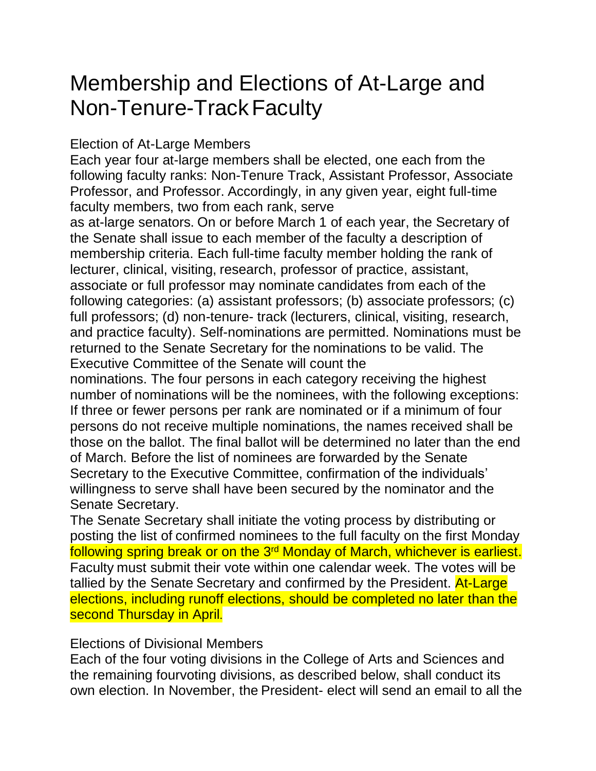## Membership and Elections of At-Large and Non-Tenure-TrackFaculty

## Election of At-Large Members

Each year four at-large members shall be elected, one each from the following faculty ranks: Non-Tenure Track, Assistant Professor, Associate Professor, and Professor. Accordingly, in any given year, eight full-time faculty members, two from each rank, serve

as at-large senators. On or before March 1 of each year, the Secretary of the Senate shall issue to each member of the faculty a description of membership criteria. Each full-time faculty member holding the rank of lecturer, clinical, visiting, research, professor of practice, assistant, associate or full professor may nominate candidates from each of the following categories: (a) assistant professors; (b) associate professors; (c) full professors; (d) non-tenure- track (lecturers, clinical, visiting, research, and practice faculty). Self-nominations are permitted. Nominations must be returned to the Senate Secretary for the nominations to be valid. The Executive Committee of the Senate will count the

nominations. The four persons in each category receiving the highest number of nominations will be the nominees, with the following exceptions: If three or fewer persons per rank are nominated or if a minimum of four persons do not receive multiple nominations, the names received shall be those on the ballot. The final ballot will be determined no later than the end of March. Before the list of nominees are forwarded by the Senate Secretary to the Executive Committee, confirmation of the individuals' willingness to serve shall have been secured by the nominator and the Senate Secretary.

The Senate Secretary shall initiate the voting process by distributing or posting the list of confirmed nominees to the full faculty on the first Monday following spring break or on the 3rd Monday of March, whichever is earliest. Faculty must submit their vote within one calendar week. The votes will be tallied by the Senate Secretary and confirmed by the President. **At-Large** elections, including runoff elections, should be completed no later than the second Thursday in April.

## Elections of Divisional Members

Each of the four voting divisions in the College of Arts and Sciences and the remaining fourvoting divisions, as described below, shall conduct its own election. In November, the President- elect will send an email to all the